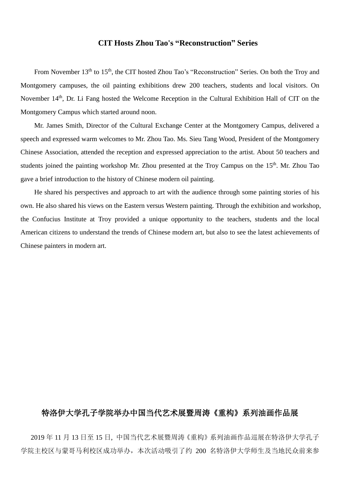## **CIT Hosts Zhou Tao's "Reconstruction" Series**

From November 13<sup>th</sup> to 15<sup>th</sup>, the CIT hosted Zhou Tao's "Reconstruction" Series. On both the Troy and Montgomery campuses, the oil painting exhibitions drew 200 teachers, students and local visitors. On November 14<sup>th</sup>, Dr. Li Fang hosted the Welcome Reception in the Cultural Exhibition Hall of CIT on the Montgomery Campus which started around noon.

Mr. James Smith, Director of the Cultural Exchange Center at the Montgomery Campus, delivered a speech and expressed warm welcomes to Mr. Zhou Tao. Ms. Sieu Tang Wood, President of the Montgomery Chinese Association, attended the reception and expressed appreciation to the artist. About 50 teachers and students joined the painting workshop Mr. Zhou presented at the Troy Campus on the 15<sup>th</sup>. Mr. Zhou Tao gave a brief introduction to the history of Chinese modern oil painting.

He shared his perspectives and approach to art with the audience through some painting stories of his own. He also shared his views on the Eastern versus Western painting. Through the exhibition and workshop, the Confucius Institute at Troy provided a unique opportunity to the teachers, students and the local American citizens to understand the trends of Chinese modern art, but also to see the latest achievements of Chinese painters in modern art.

## 特洛伊大学孔子学院举办中国当代艺术展暨周涛《重构》系列油画作品展

2019 年 11 月 13 日至 15 日, 中国当代艺术展暨周涛《重构》系列油画作品巡展在特洛伊大学孔子 学院主校区与蒙哥马利校区成功举办,本次活动吸引了约 200 名特洛伊大学师生及当地民众前来参